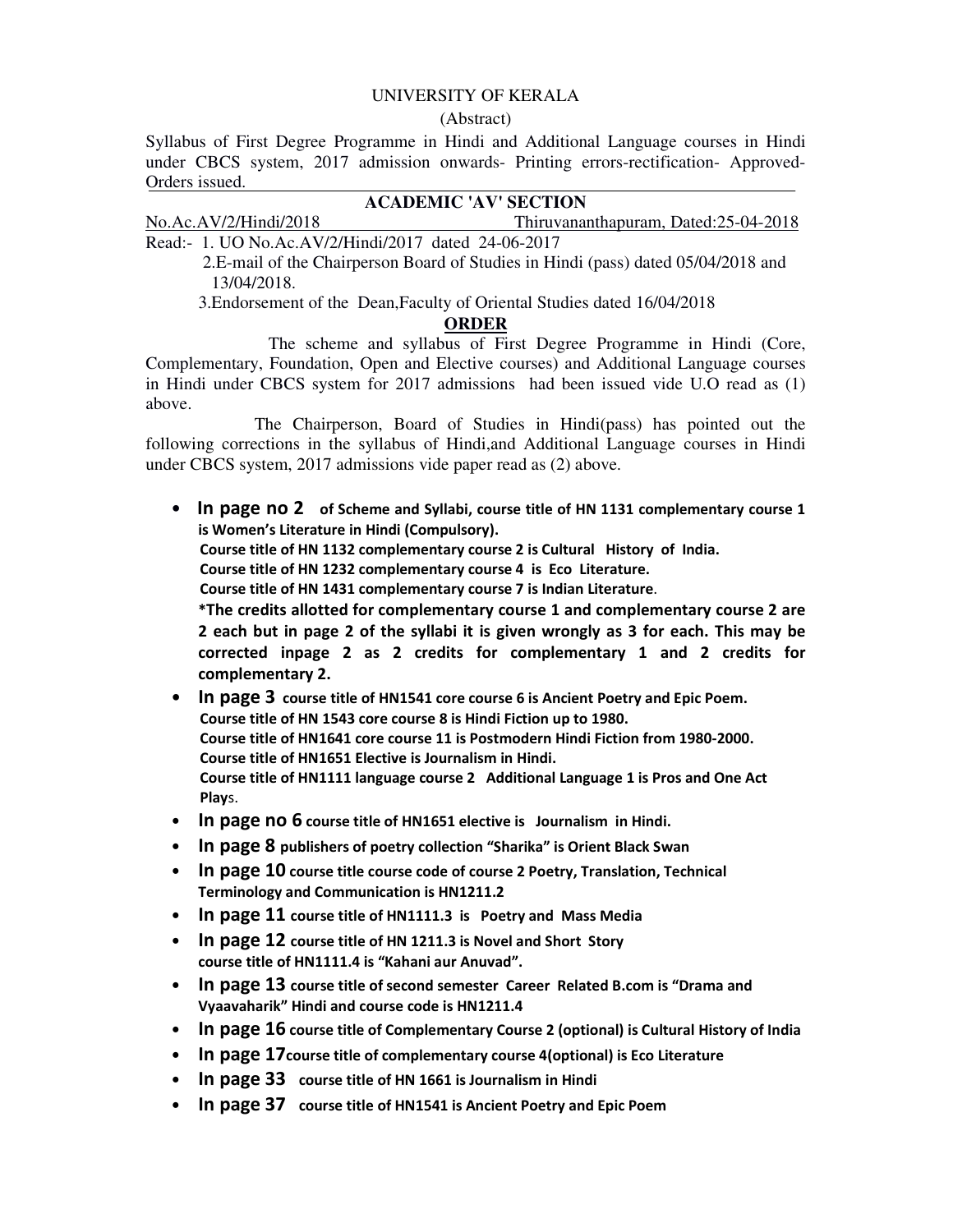## UNIVERSITY OF KERALA

(Abstract)

Syllabus of First Degree Programme in Hindi and Additional Language courses in Hindi under CBCS system, 2017 admission onwards- Printing errors-rectification- Approved-Orders issued.

## **ACADEMIC 'AV' SECTION**

### No.Ac.AV/2/Hindi/2018 Thiruvananthapuram, Dated:25-04-2018

Read:- 1. UO No.Ac.AV/2/Hindi/2017 dated 24-06-2017

 2.E-mail of the Chairperson Board of Studies in Hindi (pass) dated 05/04/2018 and 13/04/2018.

3.Endorsement of the Dean,Faculty of Oriental Studies dated 16/04/2018

#### **ORDER**

 The scheme and syllabus of First Degree Programme in Hindi (Core, Complementary, Foundation, Open and Elective courses) and Additional Language courses in Hindi under CBCS system for 2017 admissions had been issued vide U.O read as (1) above.

 The Chairperson, Board of Studies in Hindi(pass) has pointed out the following corrections in the syllabus of Hindi,and Additional Language courses in Hindi under CBCS system, 2017 admissions vide paper read as (2) above.

• In page no 2 of Scheme and Syllabi, course title of HN 1131 complementary course 1 is Women's Literature in Hindi (Compulsory).

Course title of HN 1132 complementary course 2 is Cultural History of India.

Course title of HN 1232 complementary course 4 is Eco Literature.

Course title of HN 1431 complementary course 7 is Indian Literature.

\*The credits allotted for complementary course 1 and complementary course 2 are 2 each but in page 2 of the syllabi it is given wrongly as 3 for each. This may be corrected inpage 2 as 2 credits for complementary 1 and 2 credits for complementary 2.

- In page 3 course title of HN1541 core course 6 is Ancient Poetry and Epic Poem. Course title of HN 1543 core course 8 is Hindi Fiction up to 1980. Course title of HN1641 core course 11 is Postmodern Hindi Fiction from 1980-2000. Course title of HN1651 Elective is Journalism in Hindi. Course title of HN1111 language course 2 Additional Language 1 is Pros and One Act Plays.
- In page no 6 course title of HN1651 elective is Journalism in Hindi.
- In page 8 publishers of poetry collection "Sharika" is Orient Black Swan
- In page 10 course title course code of course 2 Poetry, Translation, Technical Terminology and Communication is HN1211.2
- In page 11 course title of HN1111.3 is Poetry and Mass Media
- In page 12 course title of HN 1211.3 is Novel and Short Story course title of HN1111.4 is "Kahani aur Anuvad".
- In page 13 course title of second semester Career Related B.com is "Drama and Vyaavaharik" Hindi and course code is HN1211.4
- In page 16 course title of Complementary Course 2 (optional) is Cultural History of India
- In page 17course title of complementary course 4(optional) is Eco Literature
- In page 33 course title of HN 1661 is Journalism in Hindi
- In page 37 course title of HN1541 is Ancient Poetry and Epic Poem